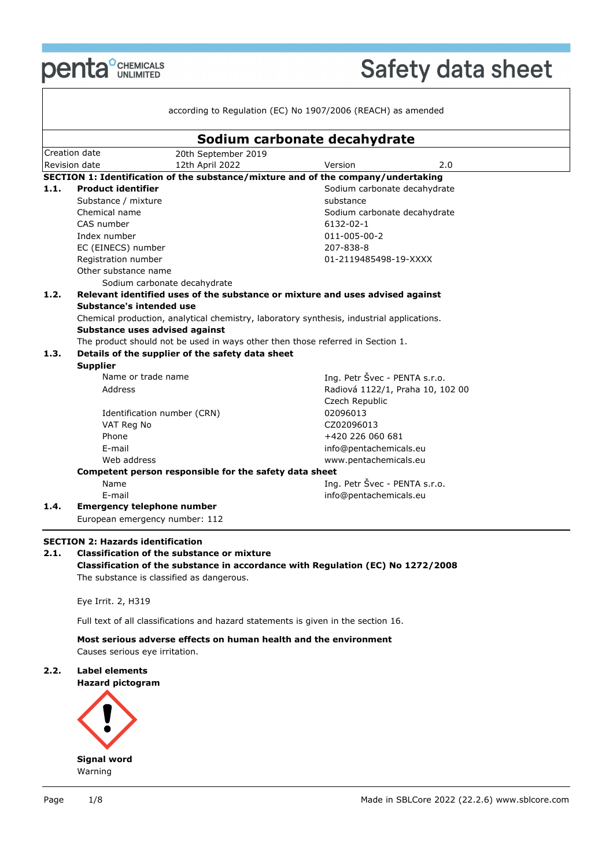

 $\mathsf{L}$ 

# Safety data sheet

|      |                                                                                                    | Sodium carbonate decahydrate                                                              |  |
|------|----------------------------------------------------------------------------------------------------|-------------------------------------------------------------------------------------------|--|
|      | Creation date<br>20th September 2019                                                               |                                                                                           |  |
|      | 12th April 2022<br>Revision date                                                                   | 2.0<br>Version                                                                            |  |
|      |                                                                                                    | SECTION 1: Identification of the substance/mixture and of the company/undertaking         |  |
| 1.1. | <b>Product identifier</b>                                                                          | Sodium carbonate decahydrate                                                              |  |
|      | Substance / mixture                                                                                | substance                                                                                 |  |
|      | Chemical name<br>CAS number                                                                        | Sodium carbonate decahydrate<br>6132-02-1                                                 |  |
|      | Index number                                                                                       | 011-005-00-2                                                                              |  |
|      | EC (EINECS) number                                                                                 | 207-838-8                                                                                 |  |
|      | Registration number                                                                                | 01-2119485498-19-XXXX                                                                     |  |
|      | Other substance name                                                                               |                                                                                           |  |
|      | Sodium carbonate decahydrate                                                                       |                                                                                           |  |
| 1.2. |                                                                                                    | Relevant identified uses of the substance or mixture and uses advised against             |  |
|      | Substance's intended use                                                                           |                                                                                           |  |
|      |                                                                                                    | Chemical production, analytical chemistry, laboratory synthesis, industrial applications. |  |
|      | Substance uses advised against                                                                     |                                                                                           |  |
|      | The product should not be used in ways other then those referred in Section 1.                     |                                                                                           |  |
| 1.3. | Details of the supplier of the safety data sheet                                                   |                                                                                           |  |
|      | <b>Supplier</b>                                                                                    |                                                                                           |  |
|      | Name or trade name                                                                                 | Ing. Petr Švec - PENTA s.r.o.                                                             |  |
|      | Address                                                                                            | Radiová 1122/1, Praha 10, 102 00                                                          |  |
|      |                                                                                                    | Czech Republic                                                                            |  |
|      | Identification number (CRN)                                                                        | 02096013                                                                                  |  |
|      | VAT Reg No                                                                                         | CZ02096013                                                                                |  |
|      | Phone                                                                                              | +420 226 060 681                                                                          |  |
|      | E-mail                                                                                             | info@pentachemicals.eu                                                                    |  |
|      | Web address                                                                                        | www.pentachemicals.eu                                                                     |  |
|      | Competent person responsible for the safety data sheet                                             |                                                                                           |  |
|      | Name                                                                                               | Ing. Petr Švec - PENTA s.r.o.                                                             |  |
| 1.4. | E-mail<br><b>Emergency telephone number</b>                                                        | info@pentachemicals.eu                                                                    |  |
|      |                                                                                                    |                                                                                           |  |
|      | European emergency number: 112                                                                     |                                                                                           |  |
|      | <b>SECTION 2: Hazards identification</b>                                                           |                                                                                           |  |
| 2.1. | <b>Classification of the substance or mixture</b>                                                  |                                                                                           |  |
|      |                                                                                                    | Classification of the substance in accordance with Regulation (EC) No 1272/2008           |  |
|      | The substance is classified as dangerous.                                                          |                                                                                           |  |
|      | Eye Irrit. 2, H319                                                                                 |                                                                                           |  |
|      | Full text of all classifications and hazard statements is given in the section 16.                 |                                                                                           |  |
|      |                                                                                                    |                                                                                           |  |
|      | Most serious adverse effects on human health and the environment<br>Causes serious eye irritation. |                                                                                           |  |
| 2.2. | Label elements                                                                                     |                                                                                           |  |
|      | <b>Hazard pictogram</b>                                                                            |                                                                                           |  |
|      |                                                                                                    |                                                                                           |  |

**Signal word** Warning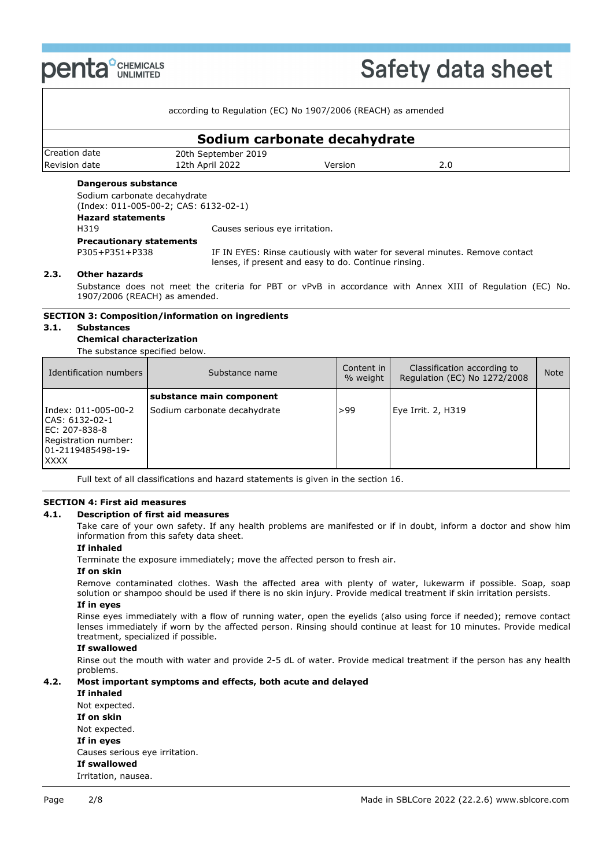**penta DENTEALS** 

# **Safety data sheet**

| according to Regulation (EC) No 1907/2006 (REACH) as amended |                                       |                              |     |  |  |  |  |
|--------------------------------------------------------------|---------------------------------------|------------------------------|-----|--|--|--|--|
|                                                              |                                       | Sodium carbonate decahydrate |     |  |  |  |  |
| Creation date                                                | 20th September 2019                   |                              |     |  |  |  |  |
| Revision date                                                | 12th April 2022                       | Version                      | 2.0 |  |  |  |  |
| Dangerous substance                                          |                                       |                              |     |  |  |  |  |
|                                                              | Sodium carbonate decahydrate          |                              |     |  |  |  |  |
|                                                              | (Index: 011-005-00-2; CAS: 6132-02-1) |                              |     |  |  |  |  |
| Hazard statements                                            |                                       |                              |     |  |  |  |  |

**Hazard statements** H319 Causes serious eye irritation. **Precautionary statements**

P305+P351+P338 IF IN EYES: Rinse cautiously with water for several minutes. Remove contact lenses, if present and easy to do. Continue rinsing.

## **2.3. Other hazards**

Substance does not meet the criteria for PBT or vPvB in accordance with Annex XIII of Regulation (EC) No. 1907/2006 (REACH) as amended.

## **SECTION 3: Composition/information on ingredients**

## **3.1. Substances**

**Chemical characterization** The substance specified below.

| Identification numbers                                                                                              | Substance name               | Content in I<br>% weight | Classification according to<br>Regulation (EC) No 1272/2008 | <b>Note</b> |
|---------------------------------------------------------------------------------------------------------------------|------------------------------|--------------------------|-------------------------------------------------------------|-------------|
|                                                                                                                     | substance main component     |                          |                                                             |             |
| Index: 011-005-00-2<br>CAS: 6132-02-1<br>IEC: 207-838-8<br>Registration number:<br>01-2119485498-19-<br><b>XXXX</b> | Sodium carbonate decahydrate | >99                      | Eye Irrit. 2, H319                                          |             |

Full text of all classifications and hazard statements is given in the section 16.

## **SECTION 4: First aid measures**

#### **4.1. Description of first aid measures**

Take care of your own safety. If any health problems are manifested or if in doubt, inform a doctor and show him information from this safety data sheet.

## **If inhaled**

Terminate the exposure immediately; move the affected person to fresh air.

## **If on skin**

Remove contaminated clothes. Wash the affected area with plenty of water, lukewarm if possible. Soap, soap solution or shampoo should be used if there is no skin injury. Provide medical treatment if skin irritation persists.

## **If in eyes**

Rinse eyes immediately with a flow of running water, open the eyelids (also using force if needed); remove contact lenses immediately if worn by the affected person. Rinsing should continue at least for 10 minutes. Provide medical treatment, specialized if possible.

## **If swallowed**

Rinse out the mouth with water and provide 2-5 dL of water. Provide medical treatment if the person has any health problems.

## **4.2. Most important symptoms and effects, both acute and delayed**

**If inhaled**

Not expected.

**If on skin**

Not expected.

**If in eyes**

Causes serious eye irritation.

## **If swallowed**

Irritation, nausea.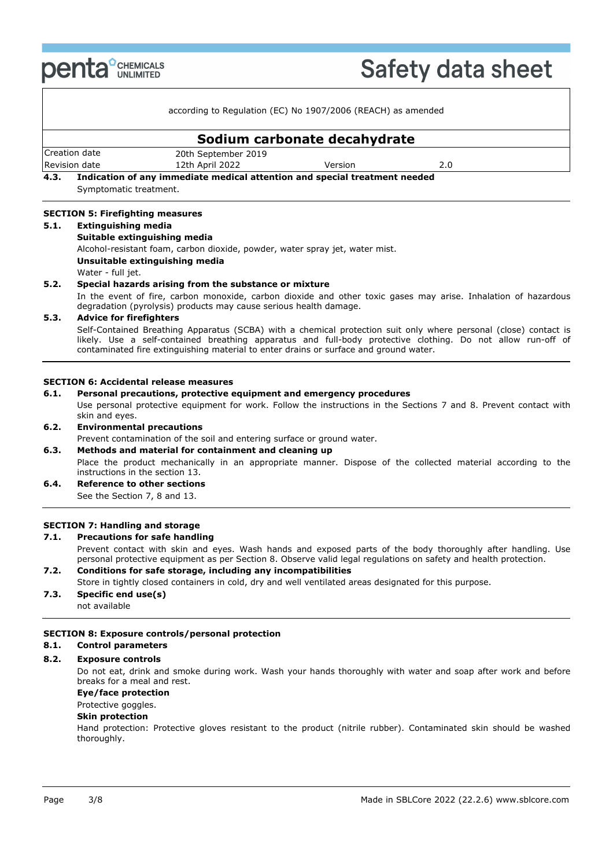

# **Safety data sheet**

|                        | according to Regulation (EC) No 1907/2006 (REACH) as amended               |                              |     |  |
|------------------------|----------------------------------------------------------------------------|------------------------------|-----|--|
|                        |                                                                            | Sodium carbonate decahydrate |     |  |
| Creation date          | 20th September 2019                                                        |                              |     |  |
| Revision date          | 12th April 2022                                                            | Version                      | 2.0 |  |
| 4.3.                   | Indication of any immediate medical attention and special treatment needed |                              |     |  |
| Symptomatic treatment. |                                                                            |                              |     |  |

#### **SECTION 5: Firefighting measures 5.1. Extinguishing media**

## **Suitable extinguishing media**

Alcohol-resistant foam, carbon dioxide, powder, water spray jet, water mist.

#### **Unsuitable extinguishing media**

Water - full jet.

## **5.2. Special hazards arising from the substance or mixture**

In the event of fire, carbon monoxide, carbon dioxide and other toxic gases may arise. Inhalation of hazardous degradation (pyrolysis) products may cause serious health damage.

## **5.3. Advice for firefighters**

Self-Contained Breathing Apparatus (SCBA) with a chemical protection suit only where personal (close) contact is likely. Use a self-contained breathing apparatus and full-body protective clothing. Do not allow run-off of contaminated fire extinguishing material to enter drains or surface and ground water.

## **SECTION 6: Accidental release measures**

### **6.1. Personal precautions, protective equipment and emergency procedures**

Use personal protective equipment for work. Follow the instructions in the Sections 7 and 8. Prevent contact with skin and eyes.

## **6.2. Environmental precautions**

Prevent contamination of the soil and entering surface or ground water.

## **6.3. Methods and material for containment and cleaning up** Place the product mechanically in an appropriate manner. Dispose of the collected material according to the instructions in the section 13.

**6.4. Reference to other sections** See the Section 7, 8 and 13.

## **SECTION 7: Handling and storage**

#### **7.1. Precautions for safe handling**

Prevent contact with skin and eyes. Wash hands and exposed parts of the body thoroughly after handling. Use personal protective equipment as per Section 8. Observe valid legal regulations on safety and health protection.

## **7.2. Conditions for safe storage, including any incompatibilities**

Store in tightly closed containers in cold, dry and well ventilated areas designated for this purpose.

**7.3. Specific end use(s)** not available

## **SECTION 8: Exposure controls/personal protection**

#### **8.1. Control parameters**

## **8.2. Exposure controls**

Do not eat, drink and smoke during work. Wash your hands thoroughly with water and soap after work and before breaks for a meal and rest.

## **Eye/face protection**

## Protective goggles.

#### **Skin protection**

Hand protection: Protective gloves resistant to the product (nitrile rubber). Contaminated skin should be washed thoroughly.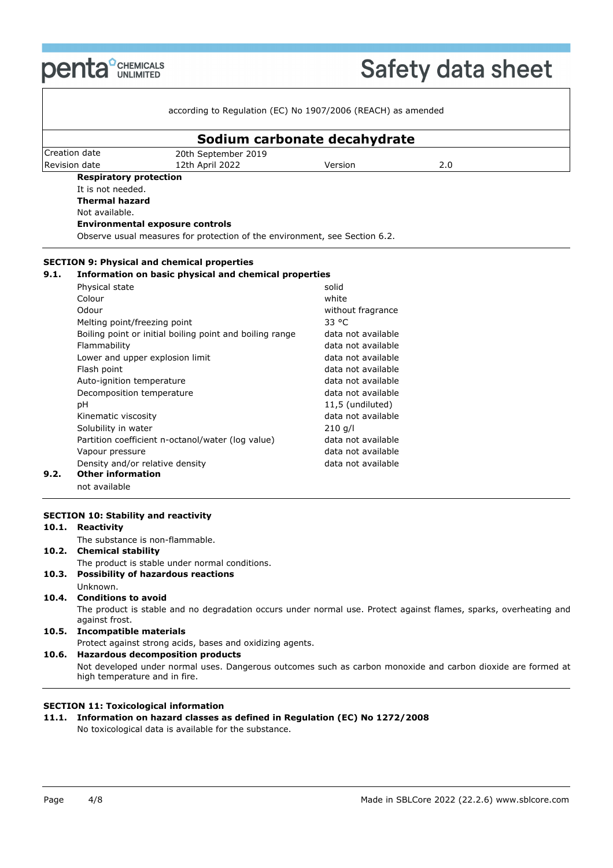**penta**<sup>°</sup>CHEMICALS

٦

|      |                                 | according to Regulation (EC) No 1907/2006 (REACH) as amended               |                    |     |  |
|------|---------------------------------|----------------------------------------------------------------------------|--------------------|-----|--|
|      |                                 | Sodium carbonate decahydrate                                               |                    |     |  |
|      | Creation date                   | 20th September 2019                                                        |                    |     |  |
|      | Revision date                   | 12th April 2022                                                            | Version            | 2.0 |  |
|      | <b>Respiratory protection</b>   |                                                                            |                    |     |  |
|      | It is not needed.               |                                                                            |                    |     |  |
|      | <b>Thermal hazard</b>           |                                                                            |                    |     |  |
|      | Not available.                  |                                                                            |                    |     |  |
|      |                                 | <b>Environmental exposure controls</b>                                     |                    |     |  |
|      |                                 | Observe usual measures for protection of the environment, see Section 6.2. |                    |     |  |
|      |                                 | <b>SECTION 9: Physical and chemical properties</b>                         |                    |     |  |
| 9.1. |                                 | Information on basic physical and chemical properties                      |                    |     |  |
|      | Physical state                  |                                                                            | solid              |     |  |
|      | Colour                          |                                                                            | white              |     |  |
|      | Odour                           |                                                                            | without fragrance  |     |  |
|      | Melting point/freezing point    |                                                                            | 33 °C              |     |  |
|      |                                 | Boiling point or initial boiling point and boiling range                   | data not available |     |  |
|      | Flammability                    |                                                                            | data not available |     |  |
|      | Lower and upper explosion limit |                                                                            | data not available |     |  |
|      | Flash point                     |                                                                            | data not available |     |  |
|      | Auto-ignition temperature       |                                                                            | data not available |     |  |
|      | Decomposition temperature       |                                                                            | data not available |     |  |
|      | рH                              |                                                                            | 11,5 (undiluted)   |     |  |
|      | Kinematic viscosity             |                                                                            | data not available |     |  |
|      | Solubility in water             |                                                                            | $210$ g/l          |     |  |
|      |                                 | Partition coefficient n-octanol/water (log value)                          | data not available |     |  |
|      | Vapour pressure                 |                                                                            | data not available |     |  |
|      | Density and/or relative density |                                                                            | data not available |     |  |
| 9.2. | <b>Other information</b>        |                                                                            |                    |     |  |
|      | not available                   |                                                                            |                    |     |  |

## The product is stable and no degradation occurs under normal use. Protect against flames, sparks, overheating and against frost.

## **10.5. Incompatible materials**

Protect against strong acids, bases and oxidizing agents. **10.6. Hazardous decomposition products** Not developed under normal uses. Dangerous outcomes such as carbon monoxide and carbon dioxide are formed at high temperature and in fire.

## **SECTION 11: Toxicological information**

**11.1. Information on hazard classes as defined in Regulation (EC) No 1272/2008**

No toxicological data is available for the substance.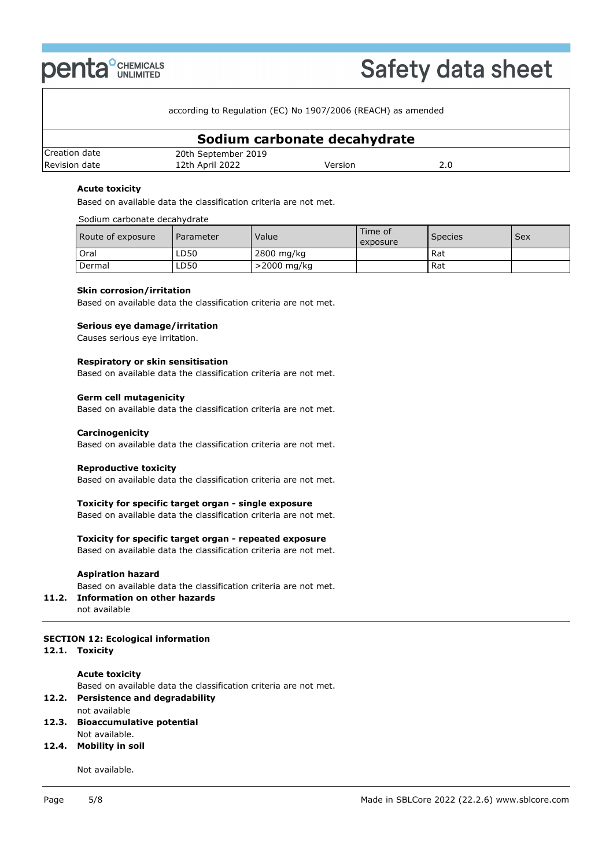

according to Regulation (EC) No 1907/2006 (REACH) as amended

| Sodium carbonate decahydrate |                     |         |  |  |  |
|------------------------------|---------------------|---------|--|--|--|
| Creation date                | 20th September 2019 |         |  |  |  |
| Revision date                | 12th April 2022     | Version |  |  |  |

## **Acute toxicity**

Based on available data the classification criteria are not met.

## Sodium carbonate decahydrate

| Route of exposure | Parameter | Value          | Time of<br>exposure | Species | Sex |
|-------------------|-----------|----------------|---------------------|---------|-----|
| Oral              | LD50      | 2800 mg/kg     |                     | Rat     |     |
| Dermal            | LD50      | $>$ 2000 mg/kg |                     | Rat     |     |

## **Skin corrosion/irritation**

Based on available data the classification criteria are not met.

## **Serious eye damage/irritation**

Causes serious eye irritation.

#### **Respiratory or skin sensitisation**

Based on available data the classification criteria are not met.

#### **Germ cell mutagenicity**

Based on available data the classification criteria are not met.

## **Carcinogenicity**

Based on available data the classification criteria are not met.

## **Reproductive toxicity**

Based on available data the classification criteria are not met.

## **Toxicity for specific target organ - single exposure**

Based on available data the classification criteria are not met.

## **Toxicity for specific target organ - repeated exposure**

Based on available data the classification criteria are not met.

## **Aspiration hazard**

Based on available data the classification criteria are not met.

## **11.2. Information on other hazards**

not available

## **SECTION 12: Ecological information**

## **12.1. Toxicity**

**Acute toxicity**

Based on available data the classification criteria are not met.

## **12.2. Persistence and degradability**

not available

**12.3. Bioaccumulative potential**

## Not available.

**12.4. Mobility in soil**

Not available.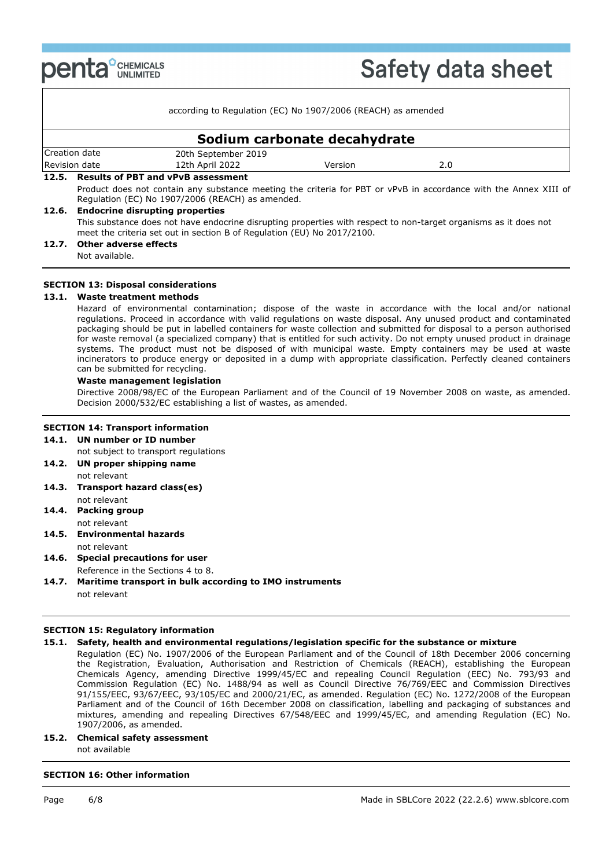**penta** *CHEMICALS* 

|               |  | according to Regulation (EC) No 1907/2006 (REACH) as amended                                                                                                         |                              |     |  |
|---------------|--|----------------------------------------------------------------------------------------------------------------------------------------------------------------------|------------------------------|-----|--|
|               |  |                                                                                                                                                                      | Sodium carbonate decahydrate |     |  |
| Creation date |  | 20th September 2019                                                                                                                                                  |                              |     |  |
| Revision date |  | 12th April 2022                                                                                                                                                      | Version                      | 2.0 |  |
|               |  | 12.5. Results of PBT and vPvB assessment                                                                                                                             |                              |     |  |
|               |  | Product does not contain any substance meeting the criteria for PBT or vPvB in accordance with the Annex XIII of<br>Regulation (EC) No 1907/2006 (REACH) as amended. |                              |     |  |
|               |  | 12.6. Endocrine disrupting properties                                                                                                                                |                              |     |  |
|               |  | This substance does not have endocrine disrupting properties with respect to non-target organisms as it does not                                                     |                              |     |  |

This substance does not have endocrine disrupting properties with respect to non-target organisms as it does not meet the criteria set out in section B of Regulation (EU) No 2017/2100.

## **12.7. Other adverse effects**

Not available.

## **SECTION 13: Disposal considerations**

## **13.1. Waste treatment methods**

Hazard of environmental contamination; dispose of the waste in accordance with the local and/or national regulations. Proceed in accordance with valid regulations on waste disposal. Any unused product and contaminated packaging should be put in labelled containers for waste collection and submitted for disposal to a person authorised for waste removal (a specialized company) that is entitled for such activity. Do not empty unused product in drainage systems. The product must not be disposed of with municipal waste. Empty containers may be used at waste incinerators to produce energy or deposited in a dump with appropriate classification. Perfectly cleaned containers can be submitted for recycling.

## **Waste management legislation**

Directive 2008/98/EC of the European Parliament and of the Council of 19 November 2008 on waste, as amended. Decision 2000/532/EC establishing a list of wastes, as amended.

## **SECTION 14: Transport information**

- **14.1. UN number or ID number**
- not subject to transport regulations
- **14.2. UN proper shipping name** not relevant
- **14.3. Transport hazard class(es)**
- not relevant **14.4. Packing group** not relevant
- **14.5. Environmental hazards** not relevant
- **14.6. Special precautions for user** Reference in the Sections 4 to 8.
- **14.7. Maritime transport in bulk according to IMO instruments** not relevant

## **SECTION 15: Regulatory information**

## **15.1. Safety, health and environmental regulations/legislation specific for the substance or mixture**

Regulation (EC) No. 1907/2006 of the European Parliament and of the Council of 18th December 2006 concerning the Registration, Evaluation, Authorisation and Restriction of Chemicals (REACH), establishing the European Chemicals Agency, amending Directive 1999/45/EC and repealing Council Regulation (EEC) No. 793/93 and Commission Regulation (EC) No. 1488/94 as well as Council Directive 76/769/EEC and Commission Directives 91/155/EEC, 93/67/EEC, 93/105/EC and 2000/21/EC, as amended. Regulation (EC) No. 1272/2008 of the European Parliament and of the Council of 16th December 2008 on classification, labelling and packaging of substances and mixtures, amending and repealing Directives 67/548/EEC and 1999/45/EC, and amending Regulation (EC) No. 1907/2006, as amended.

## **15.2. Chemical safety assessment**

not available

## **SECTION 16: Other information**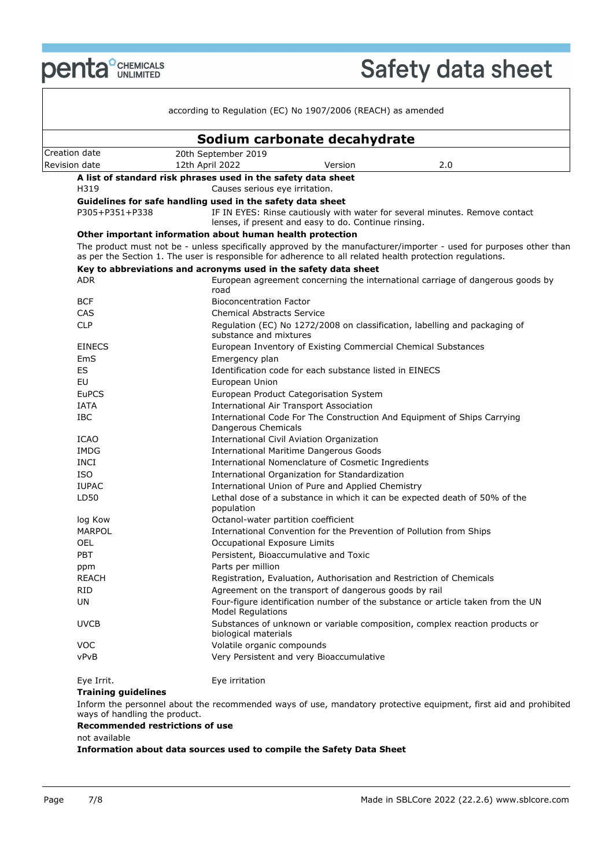**penta** *<u>CHEMICALS</u>* 

| Creation date<br>H319<br>P305+P351+P338<br><b>ADR</b><br><b>BCF</b><br>CAS<br><b>CLP</b><br><b>EINECS</b><br>EmS<br>ES<br>EU<br><b>EuPCS</b><br>IATA<br><b>IBC</b><br>ICAO<br><b>IMDG</b><br><b>INCI</b><br><b>ISO</b><br><b>IUPAC</b><br>LD50<br>log Kow | 20th September 2019<br>12th April 2022<br>A list of standard risk phrases used in the safety data sheet<br>Causes serious eye irritation.<br>Guidelines for safe handling used in the safety data sheet<br>Other important information about human health protection<br>Key to abbreviations and acronyms used in the safety data sheet<br>road<br><b>Bioconcentration Factor</b><br><b>Chemical Abstracts Service</b><br>substance and mixtures<br>Emergency plan<br>European Union | Sodium carbonate decahydrate<br>2.0<br>Version<br>IF IN EYES: Rinse cautiously with water for several minutes. Remove contact<br>lenses, if present and easy to do. Continue rinsing.<br>as per the Section 1. The user is responsible for adherence to all related health protection regulations.<br>European agreement concerning the international carriage of dangerous goods by<br>Regulation (EC) No 1272/2008 on classification, labelling and packaging of<br>European Inventory of Existing Commercial Chemical Substances<br>Identification code for each substance listed in EINECS<br>European Product Categorisation System<br><b>International Air Transport Association</b> |
|-----------------------------------------------------------------------------------------------------------------------------------------------------------------------------------------------------------------------------------------------------------|--------------------------------------------------------------------------------------------------------------------------------------------------------------------------------------------------------------------------------------------------------------------------------------------------------------------------------------------------------------------------------------------------------------------------------------------------------------------------------------|--------------------------------------------------------------------------------------------------------------------------------------------------------------------------------------------------------------------------------------------------------------------------------------------------------------------------------------------------------------------------------------------------------------------------------------------------------------------------------------------------------------------------------------------------------------------------------------------------------------------------------------------------------------------------------------------|
| Revision date                                                                                                                                                                                                                                             |                                                                                                                                                                                                                                                                                                                                                                                                                                                                                      |                                                                                                                                                                                                                                                                                                                                                                                                                                                                                                                                                                                                                                                                                            |
|                                                                                                                                                                                                                                                           |                                                                                                                                                                                                                                                                                                                                                                                                                                                                                      |                                                                                                                                                                                                                                                                                                                                                                                                                                                                                                                                                                                                                                                                                            |
|                                                                                                                                                                                                                                                           |                                                                                                                                                                                                                                                                                                                                                                                                                                                                                      |                                                                                                                                                                                                                                                                                                                                                                                                                                                                                                                                                                                                                                                                                            |
|                                                                                                                                                                                                                                                           |                                                                                                                                                                                                                                                                                                                                                                                                                                                                                      |                                                                                                                                                                                                                                                                                                                                                                                                                                                                                                                                                                                                                                                                                            |
|                                                                                                                                                                                                                                                           |                                                                                                                                                                                                                                                                                                                                                                                                                                                                                      | The product must not be - unless specifically approved by the manufacturer/importer - used for purposes other than                                                                                                                                                                                                                                                                                                                                                                                                                                                                                                                                                                         |
|                                                                                                                                                                                                                                                           |                                                                                                                                                                                                                                                                                                                                                                                                                                                                                      |                                                                                                                                                                                                                                                                                                                                                                                                                                                                                                                                                                                                                                                                                            |
|                                                                                                                                                                                                                                                           |                                                                                                                                                                                                                                                                                                                                                                                                                                                                                      |                                                                                                                                                                                                                                                                                                                                                                                                                                                                                                                                                                                                                                                                                            |
|                                                                                                                                                                                                                                                           |                                                                                                                                                                                                                                                                                                                                                                                                                                                                                      |                                                                                                                                                                                                                                                                                                                                                                                                                                                                                                                                                                                                                                                                                            |
|                                                                                                                                                                                                                                                           |                                                                                                                                                                                                                                                                                                                                                                                                                                                                                      |                                                                                                                                                                                                                                                                                                                                                                                                                                                                                                                                                                                                                                                                                            |
|                                                                                                                                                                                                                                                           |                                                                                                                                                                                                                                                                                                                                                                                                                                                                                      |                                                                                                                                                                                                                                                                                                                                                                                                                                                                                                                                                                                                                                                                                            |
|                                                                                                                                                                                                                                                           |                                                                                                                                                                                                                                                                                                                                                                                                                                                                                      |                                                                                                                                                                                                                                                                                                                                                                                                                                                                                                                                                                                                                                                                                            |
|                                                                                                                                                                                                                                                           |                                                                                                                                                                                                                                                                                                                                                                                                                                                                                      |                                                                                                                                                                                                                                                                                                                                                                                                                                                                                                                                                                                                                                                                                            |
|                                                                                                                                                                                                                                                           |                                                                                                                                                                                                                                                                                                                                                                                                                                                                                      |                                                                                                                                                                                                                                                                                                                                                                                                                                                                                                                                                                                                                                                                                            |
|                                                                                                                                                                                                                                                           |                                                                                                                                                                                                                                                                                                                                                                                                                                                                                      |                                                                                                                                                                                                                                                                                                                                                                                                                                                                                                                                                                                                                                                                                            |
|                                                                                                                                                                                                                                                           |                                                                                                                                                                                                                                                                                                                                                                                                                                                                                      |                                                                                                                                                                                                                                                                                                                                                                                                                                                                                                                                                                                                                                                                                            |
|                                                                                                                                                                                                                                                           |                                                                                                                                                                                                                                                                                                                                                                                                                                                                                      |                                                                                                                                                                                                                                                                                                                                                                                                                                                                                                                                                                                                                                                                                            |
|                                                                                                                                                                                                                                                           |                                                                                                                                                                                                                                                                                                                                                                                                                                                                                      |                                                                                                                                                                                                                                                                                                                                                                                                                                                                                                                                                                                                                                                                                            |
|                                                                                                                                                                                                                                                           |                                                                                                                                                                                                                                                                                                                                                                                                                                                                                      |                                                                                                                                                                                                                                                                                                                                                                                                                                                                                                                                                                                                                                                                                            |
|                                                                                                                                                                                                                                                           |                                                                                                                                                                                                                                                                                                                                                                                                                                                                                      |                                                                                                                                                                                                                                                                                                                                                                                                                                                                                                                                                                                                                                                                                            |
|                                                                                                                                                                                                                                                           |                                                                                                                                                                                                                                                                                                                                                                                                                                                                                      |                                                                                                                                                                                                                                                                                                                                                                                                                                                                                                                                                                                                                                                                                            |
|                                                                                                                                                                                                                                                           |                                                                                                                                                                                                                                                                                                                                                                                                                                                                                      |                                                                                                                                                                                                                                                                                                                                                                                                                                                                                                                                                                                                                                                                                            |
|                                                                                                                                                                                                                                                           | Dangerous Chemicals                                                                                                                                                                                                                                                                                                                                                                                                                                                                  | International Code For The Construction And Equipment of Ships Carrying                                                                                                                                                                                                                                                                                                                                                                                                                                                                                                                                                                                                                    |
|                                                                                                                                                                                                                                                           |                                                                                                                                                                                                                                                                                                                                                                                                                                                                                      | International Civil Aviation Organization                                                                                                                                                                                                                                                                                                                                                                                                                                                                                                                                                                                                                                                  |
|                                                                                                                                                                                                                                                           |                                                                                                                                                                                                                                                                                                                                                                                                                                                                                      | <b>International Maritime Dangerous Goods</b>                                                                                                                                                                                                                                                                                                                                                                                                                                                                                                                                                                                                                                              |
|                                                                                                                                                                                                                                                           |                                                                                                                                                                                                                                                                                                                                                                                                                                                                                      | International Nomenclature of Cosmetic Ingredients                                                                                                                                                                                                                                                                                                                                                                                                                                                                                                                                                                                                                                         |
|                                                                                                                                                                                                                                                           |                                                                                                                                                                                                                                                                                                                                                                                                                                                                                      | International Organization for Standardization                                                                                                                                                                                                                                                                                                                                                                                                                                                                                                                                                                                                                                             |
|                                                                                                                                                                                                                                                           |                                                                                                                                                                                                                                                                                                                                                                                                                                                                                      | International Union of Pure and Applied Chemistry                                                                                                                                                                                                                                                                                                                                                                                                                                                                                                                                                                                                                                          |
|                                                                                                                                                                                                                                                           | population                                                                                                                                                                                                                                                                                                                                                                                                                                                                           | Lethal dose of a substance in which it can be expected death of 50% of the                                                                                                                                                                                                                                                                                                                                                                                                                                                                                                                                                                                                                 |
|                                                                                                                                                                                                                                                           | Octanol-water partition coefficient                                                                                                                                                                                                                                                                                                                                                                                                                                                  |                                                                                                                                                                                                                                                                                                                                                                                                                                                                                                                                                                                                                                                                                            |
| <b>MARPOL</b>                                                                                                                                                                                                                                             |                                                                                                                                                                                                                                                                                                                                                                                                                                                                                      | International Convention for the Prevention of Pollution from Ships                                                                                                                                                                                                                                                                                                                                                                                                                                                                                                                                                                                                                        |
| <b>OEL</b>                                                                                                                                                                                                                                                | Occupational Exposure Limits                                                                                                                                                                                                                                                                                                                                                                                                                                                         |                                                                                                                                                                                                                                                                                                                                                                                                                                                                                                                                                                                                                                                                                            |
| <b>PBT</b>                                                                                                                                                                                                                                                |                                                                                                                                                                                                                                                                                                                                                                                                                                                                                      | Persistent, Bioaccumulative and Toxic                                                                                                                                                                                                                                                                                                                                                                                                                                                                                                                                                                                                                                                      |
| ppm                                                                                                                                                                                                                                                       | Parts per million                                                                                                                                                                                                                                                                                                                                                                                                                                                                    |                                                                                                                                                                                                                                                                                                                                                                                                                                                                                                                                                                                                                                                                                            |
| <b>REACH</b>                                                                                                                                                                                                                                              |                                                                                                                                                                                                                                                                                                                                                                                                                                                                                      | Registration, Evaluation, Authorisation and Restriction of Chemicals                                                                                                                                                                                                                                                                                                                                                                                                                                                                                                                                                                                                                       |
| <b>RID</b>                                                                                                                                                                                                                                                |                                                                                                                                                                                                                                                                                                                                                                                                                                                                                      | Agreement on the transport of dangerous goods by rail                                                                                                                                                                                                                                                                                                                                                                                                                                                                                                                                                                                                                                      |
| UN                                                                                                                                                                                                                                                        | <b>Model Regulations</b>                                                                                                                                                                                                                                                                                                                                                                                                                                                             | Four-figure identification number of the substance or article taken from the UN                                                                                                                                                                                                                                                                                                                                                                                                                                                                                                                                                                                                            |
| <b>UVCB</b>                                                                                                                                                                                                                                               | biological materials                                                                                                                                                                                                                                                                                                                                                                                                                                                                 | Substances of unknown or variable composition, complex reaction products or                                                                                                                                                                                                                                                                                                                                                                                                                                                                                                                                                                                                                |
| <b>VOC</b>                                                                                                                                                                                                                                                | Volatile organic compounds                                                                                                                                                                                                                                                                                                                                                                                                                                                           |                                                                                                                                                                                                                                                                                                                                                                                                                                                                                                                                                                                                                                                                                            |
| vPvB                                                                                                                                                                                                                                                      |                                                                                                                                                                                                                                                                                                                                                                                                                                                                                      | Very Persistent and very Bioaccumulative                                                                                                                                                                                                                                                                                                                                                                                                                                                                                                                                                                                                                                                   |

Inform the personnel about the recommended ways of use, mandatory protective equipment, first aid and prohibited ways of handling the product.

### **Recommended restrictions of use**

not available

**Information about data sources used to compile the Safety Data Sheet**